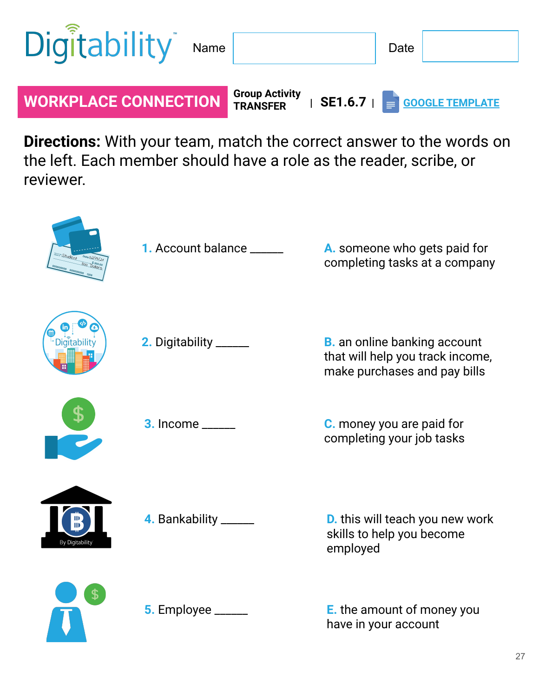

**WORKPLACE CONNECTION**

 **| SE1.6.7 | [GOOGLE TEMPLATE](https://docs.google.com/presentation/d/16Lnnqyvs-5I4JgKP5lDCEmyrHTkcdhdto_SMFvhSaJ8/edit?usp=sharing) Group Activity TRANSFER**

**Directions:** With your team, match the correct answer to the words on the left. Each member should have a role as the reader, scribe, or reviewer.

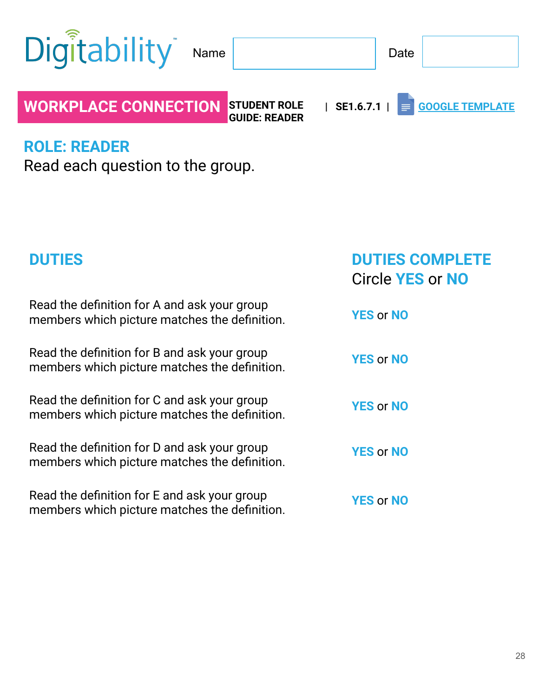| Digitability Name                                       |                                             | Date |                             |
|---------------------------------------------------------|---------------------------------------------|------|-----------------------------|
| <b>WORKPLACE CONNECTION</b>                             | <b>STUDENT ROLE</b><br><b>GUIDE: READER</b> |      | SE1.6.7.1   SOOGLE TEMPLATE |
| <b>ROLE: READER</b><br>Read each question to the group. |                                             |      |                             |

## **DUTIES**

| Read the definition for A and ask your group<br>members which picture matches the definition. | <b>YES or NO</b> |
|-----------------------------------------------------------------------------------------------|------------------|
| Read the definition for B and ask your group<br>members which picture matches the definition. | <b>YES or NO</b> |
| Read the definition for C and ask your group<br>members which picture matches the definition. | <b>YES or NO</b> |
| Read the definition for D and ask your group<br>members which picture matches the definition. | <b>YES or NO</b> |
| Read the definition for E and ask your group<br>members which picture matches the definition. | <b>YES or NO</b> |

**DUTIES COMPLETE**

Circle **YES** or **NO**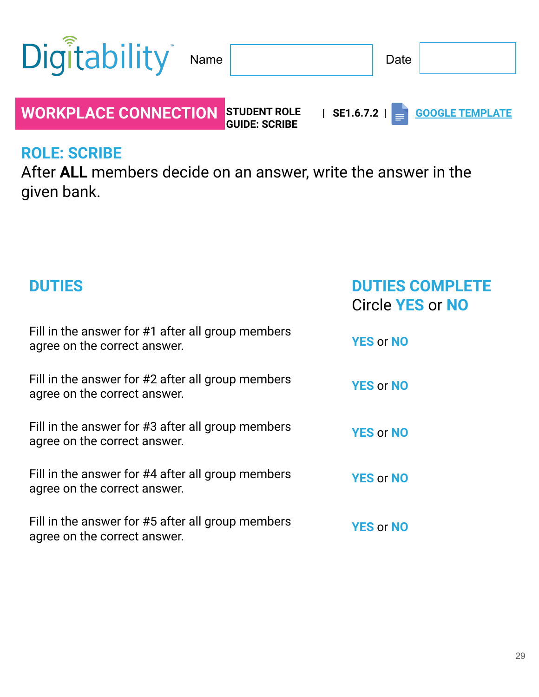| Digitability Name                        |                      | Date                                   |  |
|------------------------------------------|----------------------|----------------------------------------|--|
| <b>WORKPLACE CONNECTION STUDENT ROLE</b> | <b>GUIDE: SCRIBE</b> | SE1.6.7.2   $\epsilon$ GOOGLE TEMPLATE |  |

## **ROLE: SCRIBE**

After **ALL** members decide on an answer, write the answer in the given bank.

| <b>DUTIES</b>                                                                     | <b>DUTIES COMPLETE</b><br><b>Circle YES or NO</b> |
|-----------------------------------------------------------------------------------|---------------------------------------------------|
| Fill in the answer for #1 after all group members<br>agree on the correct answer. | <b>YES or NO</b>                                  |
| Fill in the answer for #2 after all group members<br>agree on the correct answer. | <b>YES or NO</b>                                  |
| Fill in the answer for #3 after all group members<br>agree on the correct answer. | <b>YES or NO</b>                                  |
| Fill in the answer for #4 after all group members<br>agree on the correct answer. | <b>YES or NO</b>                                  |
| Fill in the answer for #5 after all group members<br>agree on the correct answer. | <b>YES or NO</b>                                  |